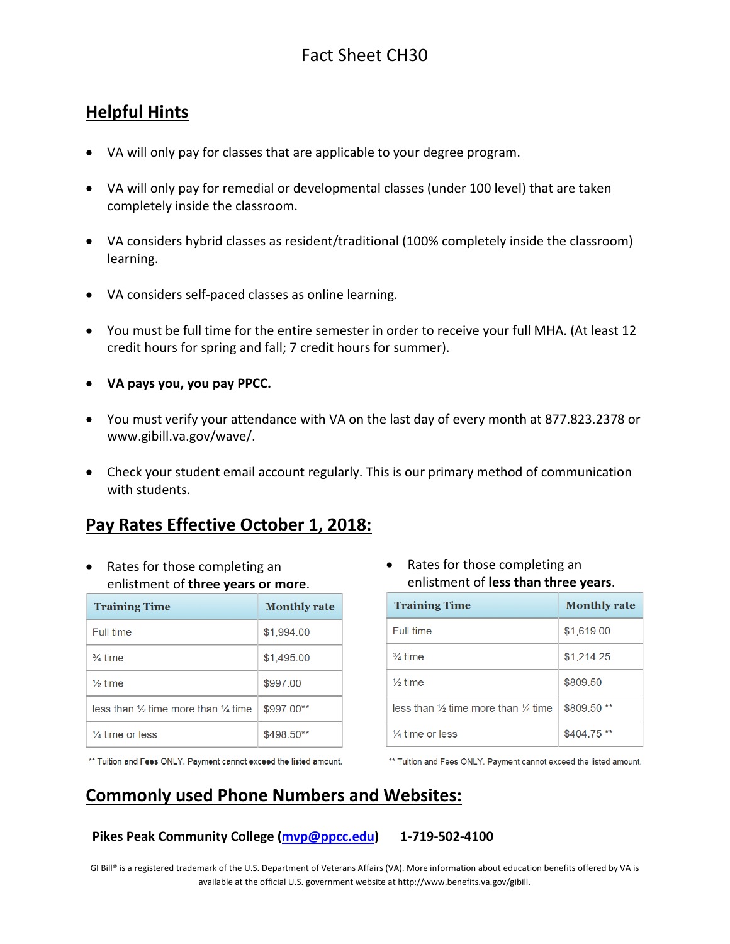#### **Helpful Hints**

- VA will only pay for classes that are applicable to your degree program.
- VA will only pay for remedial or developmental classes (under 100 level) that are taken completely inside the classroom.
- VA considers hybrid classes as resident/traditional (100% completely inside the classroom) learning.
- VA considers self-paced classes as online learning.
- You must be full time for the entire semester in order to receive your full MHA. (At least 12 credit hours for spring and fall; 7 credit hours for summer).
- **VA pays you, you pay PPCC.**
- You must verify your attendance with VA on the last day of every month at 877.823.2378 or [www.gibill.va.gov/wave/.](http://www.gibill.va.gov/wave/)
- Check your student email account regularly. This is our primary method of communication with students.

#### **Pay Rates Effective October 1, 2018:**

• Rates for those completing an enlistment of **three years or more**.

| <b>Training Time</b>                                      | <b>Monthly rate</b> |
|-----------------------------------------------------------|---------------------|
| Full time                                                 | \$1.994.00          |
| $\frac{3}{4}$ time                                        | \$1,495.00          |
| $\frac{1}{6}$ time                                        | \$997.00            |
| less than $\frac{1}{2}$ time more than $\frac{1}{4}$ time | \$997.00**          |
| $\frac{1}{4}$ time or less                                | \$498.50**          |

• Rates for those completing an enlistment of **less than three years**.

| <b>Training Time</b>                                        | <b>Monthly rate</b> |
|-------------------------------------------------------------|---------------------|
| Full time                                                   | \$1,619.00          |
| $\frac{3}{4}$ time                                          | \$1,214.25          |
| $\frac{1}{2}$ time                                          | \$809.50            |
| less than 1/ <sub>2</sub> time more than $\frac{1}{4}$ time | \$809.50 **         |
| $\frac{1}{4}$ time or less                                  | $$404.75$ **        |

\*\* Tuition and Fees ONLY. Payment cannot exceed the listed amount.

\*\* Tuition and Fees ONLY. Payment cannot exceed the listed amount.

# **Commonly used Phone Numbers and Websites:**

#### **Pikes Peak Community College [\(mvp@ppcc.edu\)](mailto:mvp@ppcc.edu) 1-719-502-4100**

GI Bill® is a registered trademark of the U.S. Department of Veterans Affairs (VA). More information about education benefits offered by VA is available at the official U.S. government website a[t http://www.benefits.va.gov/gibill.](http://www.benefits.va.gov/gibill)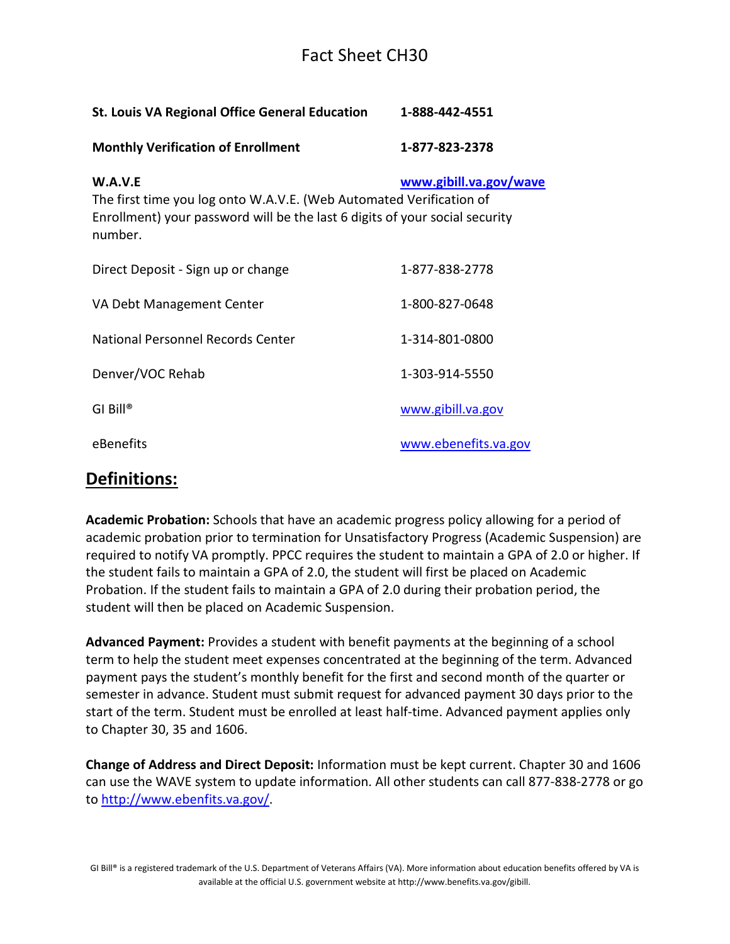## Fact Sheet CH30

| <b>St. Louis VA Regional Office General Education</b>                                                                                                                    | 1-888-442-4551         |
|--------------------------------------------------------------------------------------------------------------------------------------------------------------------------|------------------------|
| <b>Monthly Verification of Enrollment</b>                                                                                                                                | 1-877-823-2378         |
| W.A.V.E<br>The first time you log onto W.A.V.E. (Web Automated Verification of<br>Enrollment) your password will be the last 6 digits of your social security<br>number. | www.gibill.va.gov/wave |
| Direct Deposit - Sign up or change                                                                                                                                       | 1-877-838-2778         |
| VA Debt Management Center                                                                                                                                                | 1-800-827-0648         |
| National Personnel Records Center                                                                                                                                        | 1-314-801-0800         |
| Denver/VOC Rehab                                                                                                                                                         | 1-303-914-5550         |
| GI Bill®                                                                                                                                                                 | www.gibill.va.gov      |
| eBenefits                                                                                                                                                                | www.ebenefits.va.gov   |
|                                                                                                                                                                          |                        |

#### **Definitions:**

**Academic Probation:** Schools that have an academic progress policy allowing for a period of academic probation prior to termination for Unsatisfactory Progress (Academic Suspension) are required to notify VA promptly. PPCC requires the student to maintain a GPA of 2.0 or higher. If the student fails to maintain a GPA of 2.0, the student will first be placed on Academic Probation. If the student fails to maintain a GPA of 2.0 during their probation period, the student will then be placed on Academic Suspension.

**Advanced Payment:** Provides a student with benefit payments at the beginning of a school term to help the student meet expenses concentrated at the beginning of the term. Advanced payment pays the student's monthly benefit for the first and second month of the quarter or semester in advance. Student must submit request for advanced payment 30 days prior to the start of the term. Student must be enrolled at least half-time. Advanced payment applies only to Chapter 30, 35 and 1606.

**Change of Address and Direct Deposit:** Information must be kept current. Chapter 30 and 1606 can use the WAVE system to update information. All other students can call 877-838-2778 or go to [http://www.ebenfits.va.gov/.](http://www.ebenfits.va.gov/)

GI Bill® is a registered trademark of the U.S. Department of Veterans Affairs (VA). More information about education benefits offered by VA is available at the official U.S. government website a[t http://www.benefits.va.gov/gibill.](http://www.benefits.va.gov/gibill)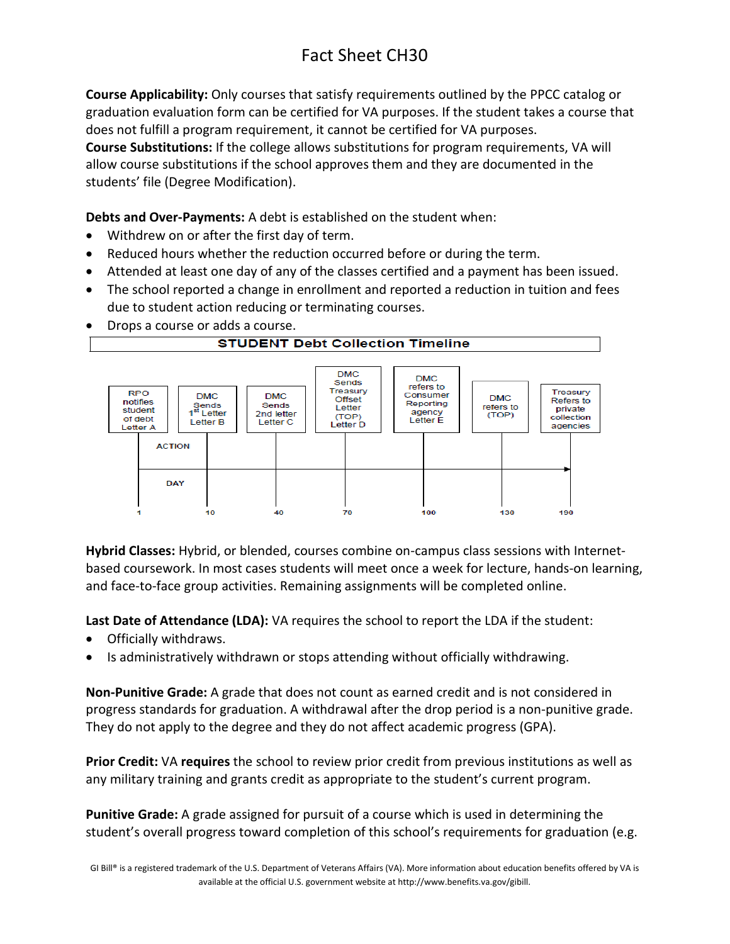# Fact Sheet CH30

**Course Applicability:** Only courses that satisfy requirements outlined by the PPCC catalog or graduation evaluation form can be certified for VA purposes. If the student takes a course that does not fulfill a program requirement, it cannot be certified for VA purposes.

**Course Substitutions:** If the college allows substitutions for program requirements, VA will allow course substitutions if the school approves them and they are documented in the students' file (Degree Modification).

**Debts and Over-Payments:** A debt is established on the student when:

- Withdrew on or after the first day of term.
- Reduced hours whether the reduction occurred before or during the term.
- Attended at least one day of any of the classes certified and a payment has been issued.
- The school reported a change in enrollment and reported a reduction in tuition and fees due to student action reducing or terminating courses.
- Drops a course or adds a course.



**Hybrid Classes:** Hybrid, or blended, courses combine on-campus class sessions with Internetbased coursework. In most cases students will meet once a week for lecture, hands-on learning, and face-to-face group activities. Remaining assignments will be completed online.

**Last Date of Attendance (LDA):** VA requires the school to report the LDA if the student:

- Officially withdraws.
- Is administratively withdrawn or stops attending without officially withdrawing.

**Non-Punitive Grade:** A grade that does not count as earned credit and is not considered in progress standards for graduation. A withdrawal after the drop period is a non-punitive grade. They do not apply to the degree and they do not affect academic progress (GPA).

**Prior Credit:** VA **requires** the school to review prior credit from previous institutions as well as any military training and grants credit as appropriate to the student's current program.

**Punitive Grade:** A grade assigned for pursuit of a course which is used in determining the student's overall progress toward completion of this school's requirements for graduation (e.g.